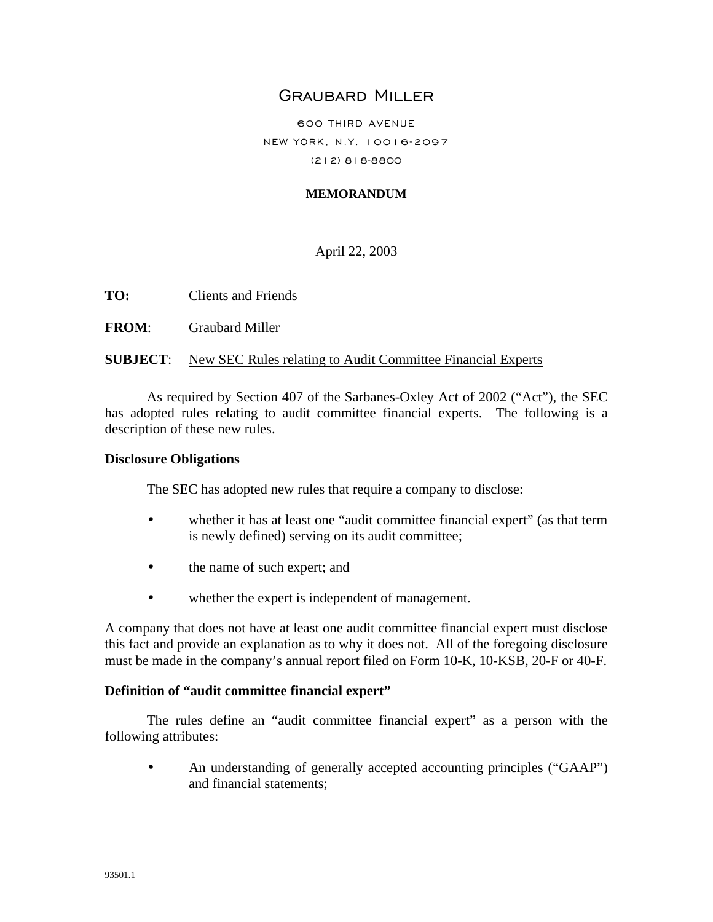# Graubard Miller

600 THIRD AVENUE NEW YORK, N.Y. 10016-2097 (212) 818-8800

## **MEMORANDUM**

April 22, 2003

**TO:** Clients and Friends

**FROM**: Graubard Miller

**SUBJECT**: New SEC Rules relating to Audit Committee Financial Experts

As required by Section 407 of the Sarbanes-Oxley Act of 2002 ("Act"), the SEC has adopted rules relating to audit committee financial experts. The following is a description of these new rules.

#### **Disclosure Obligations**

The SEC has adopted new rules that require a company to disclose:

- whether it has at least one "audit committee financial expert" (as that term is newly defined) serving on its audit committee;
- the name of such expert; and
- whether the expert is independent of management.

A company that does not have at least one audit committee financial expert must disclose this fact and provide an explanation as to why it does not. All of the foregoing disclosure must be made in the company's annual report filed on Form 10-K, 10-KSB, 20-F or 40-F.

# **Definition of "audit committee financial expert"**

The rules define an "audit committee financial expert" as a person with the following attributes:

• An understanding of generally accepted accounting principles ("GAAP") and financial statements;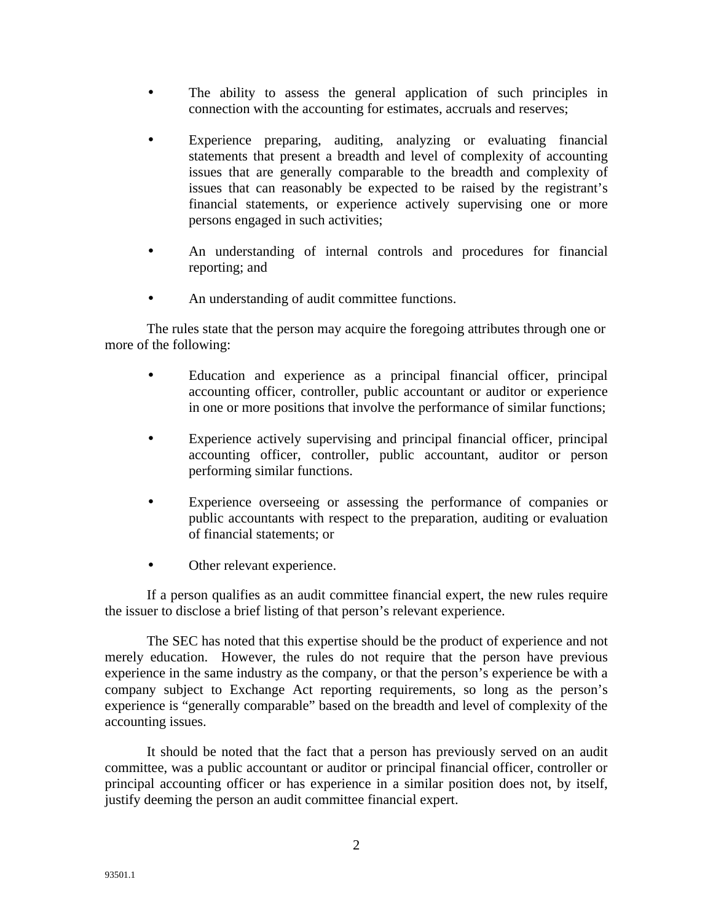- The ability to assess the general application of such principles in connection with the accounting for estimates, accruals and reserves;
- Experience preparing, auditing, analyzing or evaluating financial statements that present a breadth and level of complexity of accounting issues that are generally comparable to the breadth and complexity of issues that can reasonably be expected to be raised by the registrant's financial statements, or experience actively supervising one or more persons engaged in such activities;
- An understanding of internal controls and procedures for financial reporting; and
- An understanding of audit committee functions.

The rules state that the person may acquire the foregoing attributes through one or more of the following:

- Education and experience as a principal financial officer, principal accounting officer, controller, public accountant or auditor or experience in one or more positions that involve the performance of similar functions;
- Experience actively supervising and principal financial officer, principal accounting officer, controller, public accountant, auditor or person performing similar functions.
- Experience overseeing or assessing the performance of companies or public accountants with respect to the preparation, auditing or evaluation of financial statements; or
- Other relevant experience.

If a person qualifies as an audit committee financial expert, the new rules require the issuer to disclose a brief listing of that person's relevant experience.

The SEC has noted that this expertise should be the product of experience and not merely education. However, the rules do not require that the person have previous experience in the same industry as the company, or that the person's experience be with a company subject to Exchange Act reporting requirements, so long as the person's experience is "generally comparable" based on the breadth and level of complexity of the accounting issues.

It should be noted that the fact that a person has previously served on an audit committee, was a public accountant or auditor or principal financial officer, controller or principal accounting officer or has experience in a similar position does not, by itself, justify deeming the person an audit committee financial expert.

2